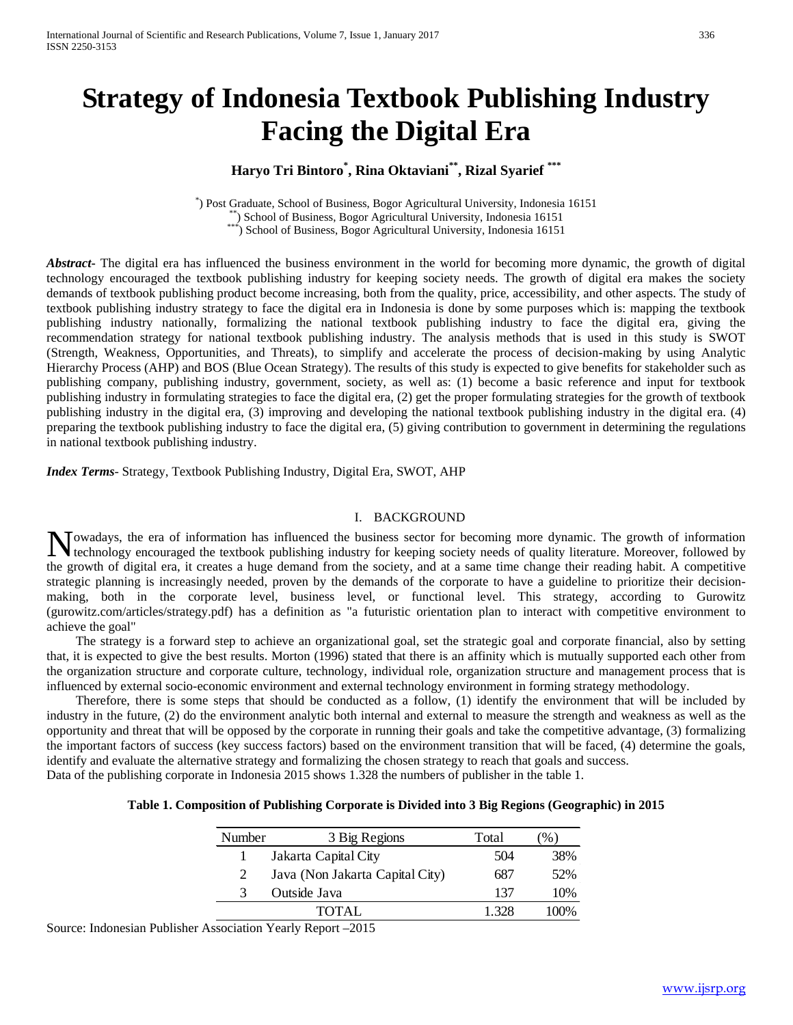# **Strategy of Indonesia Textbook Publishing Industry Facing the Digital Era**

# **Haryo Tri Bintoro\* , Rina Oktaviani\*\*, Rizal Syarief \*\*\***

\*) Post Graduate, School of Business, Bogor Agricultural University, Indonesia 16151 \*\*) School of Business, Bogor Agricultural University, Indonesia 16151<br>\*\*\*) School of Business, Bogor Agricultural University, Indonesia 16151

*Abstract***-** The digital era has influenced the business environment in the world for becoming more dynamic, the growth of digital technology encouraged the textbook publishing industry for keeping society needs. The growth of digital era makes the society demands of textbook publishing product become increasing, both from the quality, price, accessibility, and other aspects. The study of textbook publishing industry strategy to face the digital era in Indonesia is done by some purposes which is: mapping the textbook publishing industry nationally, formalizing the national textbook publishing industry to face the digital era, giving the recommendation strategy for national textbook publishing industry. The analysis methods that is used in this study is SWOT (Strength, Weakness, Opportunities, and Threats), to simplify and accelerate the process of decision-making by using Analytic Hierarchy Process (AHP) and BOS (Blue Ocean Strategy). The results of this study is expected to give benefits for stakeholder such as publishing company, publishing industry, government, society, as well as: (1) become a basic reference and input for textbook publishing industry in formulating strategies to face the digital era, (2) get the proper formulating strategies for the growth of textbook publishing industry in the digital era, (3) improving and developing the national textbook publishing industry in the digital era. (4) preparing the textbook publishing industry to face the digital era, (5) giving contribution to government in determining the regulations in national textbook publishing industry.

*Index Terms*- Strategy, Textbook Publishing Industry, Digital Era, SWOT, AHP

#### I. BACKGROUND

owadays, the era of information has influenced the business sector for becoming more dynamic. The growth of information Nowadays, the era of information has influenced the business sector for becoming more dynamic. The growth of information technology encouraged the textbook publishing industry for keeping society needs of quality literatur the growth of digital era, it creates a huge demand from the society, and at a same time change their reading habit. A competitive strategic planning is increasingly needed, proven by the demands of the corporate to have a guideline to prioritize their decisionmaking, both in the corporate level, business level, or functional level. This strategy, according to Gurowitz (gurowitz.com/articles/strategy.pdf) has a definition as "a futuristic orientation plan to interact with competitive environment to achieve the goal"

 The strategy is a forward step to achieve an organizational goal, set the strategic goal and corporate financial, also by setting that, it is expected to give the best results. Morton (1996) stated that there is an affinity which is mutually supported each other from the organization structure and corporate culture, technology, individual role, organization structure and management process that is influenced by external socio-economic environment and external technology environment in forming strategy methodology.

 Therefore, there is some steps that should be conducted as a follow, (1) identify the environment that will be included by industry in the future, (2) do the environment analytic both internal and external to measure the strength and weakness as well as the opportunity and threat that will be opposed by the corporate in running their goals and take the competitive advantage, (3) formalizing the important factors of success (key success factors) based on the environment transition that will be faced, (4) determine the goals, identify and evaluate the alternative strategy and formalizing the chosen strategy to reach that goals and success. Data of the publishing corporate in Indonesia 2015 shows 1.328 the numbers of publisher in the table 1.

| Number | 3 Big Regions                   | Total | $\%$ |
|--------|---------------------------------|-------|------|
|        | Jakarta Capital City            | 504   | 38%  |
|        | Java (Non Jakarta Capital City) | 687   | 52%  |
| 3      | Outside Java                    | 137   | 10%  |
|        | TOTAL                           | 1 328 | 100% |

**Table 1. Composition of Publishing Corporate is Divided into 3 Big Regions (Geographic) in 2015**

Source: Indonesian Publisher Association Yearly Report –2015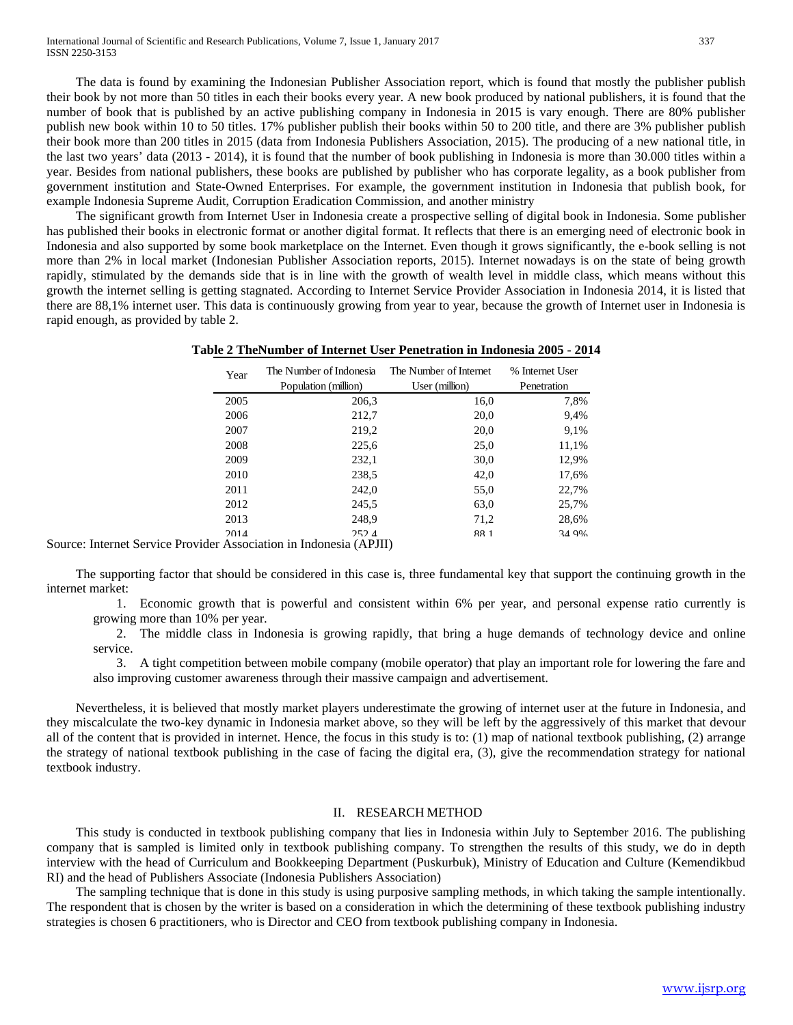The data is found by examining the Indonesian Publisher Association report, which is found that mostly the publisher publish their book by not more than 50 titles in each their books every year. A new book produced by national publishers, it is found that the number of book that is published by an active publishing company in Indonesia in 2015 is vary enough. There are 80% publisher publish new book within 10 to 50 titles. 17% publisher publish their books within 50 to 200 title, and there are 3% publisher publish their book more than 200 titles in 2015 (data from Indonesia Publishers Association, 2015). The producing of a new national title, in the last two years' data (2013 - 2014), it is found that the number of book publishing in Indonesia is more than 30.000 titles within a year. Besides from national publishers, these books are published by publisher who has corporate legality, as a book publisher from government institution and State-Owned Enterprises. For example, the government institution in Indonesia that publish book, for example Indonesia Supreme Audit, Corruption Eradication Commission, and another ministry

 The significant growth from Internet User in Indonesia create a prospective selling of digital book in Indonesia. Some publisher has published their books in electronic format or another digital format. It reflects that there is an emerging need of electronic book in Indonesia and also supported by some book marketplace on the Internet. Even though it grows significantly, the e-book selling is not more than 2% in local market (Indonesian Publisher Association reports, 2015). Internet nowadays is on the state of being growth rapidly, stimulated by the demands side that is in line with the growth of wealth level in middle class, which means without this growth the internet selling is getting stagnated. According to Internet Service Provider Association in Indonesia 2014, it is listed that there are 88,1% internet user. This data is continuously growing from year to year, because the growth of Internet user in Indonesia is rapid enough, as provided by table 2.

|  | Table 2 TheNumber of Internet User Penetration in Indonesia 2005 - 2014 |  |  |  |  |  |  |  |  |
|--|-------------------------------------------------------------------------|--|--|--|--|--|--|--|--|
|--|-------------------------------------------------------------------------|--|--|--|--|--|--|--|--|

| Year | The Number of Indonesia<br>Population (million) | The Number of Internet<br>User (million) | % Internet User<br>Penetration |
|------|-------------------------------------------------|------------------------------------------|--------------------------------|
| 2005 | 206,3                                           | 16,0                                     | 7,8%                           |
| 2006 | 212,7                                           | 20,0                                     | 9,4%                           |
| 2007 | 219,2                                           | 20,0                                     | 9.1%                           |
| 2008 | 225,6                                           | 25,0                                     | 11,1%                          |
| 2009 | 232,1                                           | 30,0                                     | 12,9%                          |
| 2010 | 238.5                                           | 42,0                                     | 17,6%                          |
| 2011 | 242.0                                           | 55,0                                     | 22,7%                          |
| 2012 | 245.5                                           | 63,0                                     | 25,7%                          |
| 2013 | 248,9                                           | 71,2                                     | 28,6%                          |
| 2014 | 252.4<br>.                                      | 881                                      | 34 9%                          |

Source: Internet Service Provider Association in Indonesia (APJII)

 The supporting factor that should be considered in this case is, three fundamental key that support the continuing growth in the internet market:

1. Economic growth that is powerful and consistent within 6% per year, and personal expense ratio currently is growing more than 10% per year.

2. The middle class in Indonesia is growing rapidly, that bring a huge demands of technology device and online service.

3. A tight competition between mobile company (mobile operator) that play an important role for lowering the fare and also improving customer awareness through their massive campaign and advertisement.

 Nevertheless, it is believed that mostly market players underestimate the growing of internet user at the future in Indonesia, and they miscalculate the two-key dynamic in Indonesia market above, so they will be left by the aggressively of this market that devour all of the content that is provided in internet. Hence, the focus in this study is to: (1) map of national textbook publishing, (2) arrange the strategy of national textbook publishing in the case of facing the digital era, (3), give the recommendation strategy for national textbook industry.

#### II. RESEARCH METHOD

 This study is conducted in textbook publishing company that lies in Indonesia within July to September 2016. The publishing company that is sampled is limited only in textbook publishing company. To strengthen the results of this study, we do in depth interview with the head of Curriculum and Bookkeeping Department (Puskurbuk), Ministry of Education and Culture (Kemendikbud RI) and the head of Publishers Associate (Indonesia Publishers Association)

 The sampling technique that is done in this study is using purposive sampling methods, in which taking the sample intentionally. The respondent that is chosen by the writer is based on a consideration in which the determining of these textbook publishing industry strategies is chosen 6 practitioners, who is Director and CEO from textbook publishing company in Indonesia.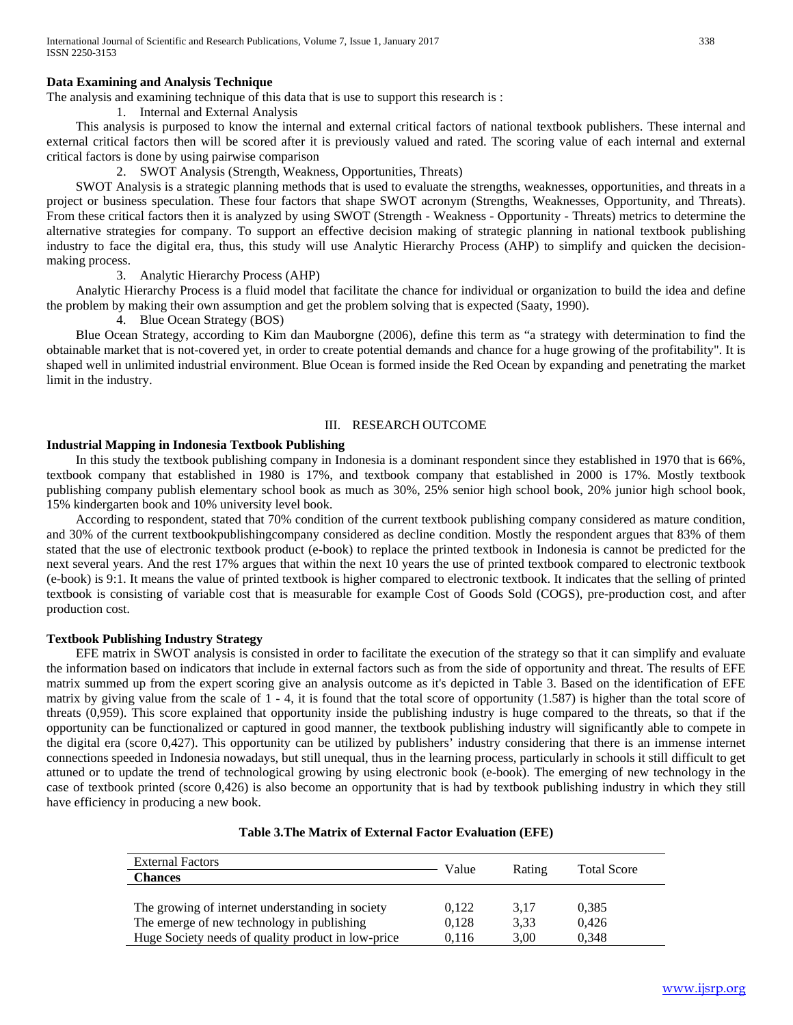# **Data Examining and Analysis Technique**

The analysis and examining technique of this data that is use to support this research is :

1. Internal and External Analysis

 This analysis is purposed to know the internal and external critical factors of national textbook publishers. These internal and external critical factors then will be scored after it is previously valued and rated. The scoring value of each internal and external critical factors is done by using pairwise comparison

2. SWOT Analysis (Strength, Weakness, Opportunities, Threats)

 SWOT Analysis is a strategic planning methods that is used to evaluate the strengths, weaknesses, opportunities, and threats in a project or business speculation. These four factors that shape SWOT acronym (Strengths, Weaknesses, Opportunity, and Threats). From these critical factors then it is analyzed by using SWOT (Strength - Weakness - Opportunity - Threats) metrics to determine the alternative strategies for company. To support an effective decision making of strategic planning in national textbook publishing industry to face the digital era, thus, this study will use Analytic Hierarchy Process (AHP) to simplify and quicken the decisionmaking process.

### 3. Analytic Hierarchy Process (AHP)

 Analytic Hierarchy Process is a fluid model that facilitate the chance for individual or organization to build the idea and define the problem by making their own assumption and get the problem solving that is expected (Saaty, 1990).

# 4. Blue Ocean Strategy (BOS)

 Blue Ocean Strategy, according to Kim dan Mauborgne (2006), define this term as "a strategy with determination to find the obtainable market that is not-covered yet, in order to create potential demands and chance for a huge growing of the profitability". It is shaped well in unlimited industrial environment. Blue Ocean is formed inside the Red Ocean by expanding and penetrating the market limit in the industry.

### III. RESEARCH OUTCOME

## **Industrial Mapping in Indonesia Textbook Publishing**

 In this study the textbook publishing company in Indonesia is a dominant respondent since they established in 1970 that is 66%, textbook company that established in 1980 is 17%, and textbook company that established in 2000 is 17%. Mostly textbook publishing company publish elementary school book as much as 30%, 25% senior high school book, 20% junior high school book, 15% kindergarten book and 10% university level book.

 According to respondent, stated that 70% condition of the current textbook publishing company considered as mature condition, and 30% of the current textbookpublishingcompany considered as decline condition. Mostly the respondent argues that 83% of them stated that the use of electronic textbook product (e-book) to replace the printed textbook in Indonesia is cannot be predicted for the next several years. And the rest 17% argues that within the next 10 years the use of printed textbook compared to electronic textbook (e-book) is 9:1. It means the value of printed textbook is higher compared to electronic textbook. It indicates that the selling of printed textbook is consisting of variable cost that is measurable for example Cost of Goods Sold (COGS), pre-production cost, and after production cost.

# **Textbook Publishing Industry Strategy**

 EFE matrix in SWOT analysis is consisted in order to facilitate the execution of the strategy so that it can simplify and evaluate the information based on indicators that include in external factors such as from the side of opportunity and threat. The results of EFE matrix summed up from the expert scoring give an analysis outcome as it's depicted in Table 3. Based on the identification of EFE matrix by giving value from the scale of 1 - 4, it is found that the total score of opportunity (1.587) is higher than the total score of threats (0,959). This score explained that opportunity inside the publishing industry is huge compared to the threats, so that if the opportunity can be functionalized or captured in good manner, the textbook publishing industry will significantly able to compete in the digital era (score 0,427). This opportunity can be utilized by publishers' industry considering that there is an immense internet connections speeded in Indonesia nowadays, but still unequal, thus in the learning process, particularly in schools it still difficult to get attuned or to update the trend of technological growing by using electronic book (e-book). The emerging of new technology in the case of textbook printed (score 0,426) is also become an opportunity that is had by textbook publishing industry in which they still have efficiency in producing a new book.

| <b>External Factors</b>                            | Value |        | <b>Total Score</b> |  |
|----------------------------------------------------|-------|--------|--------------------|--|
| <b>Chances</b>                                     |       | Rating |                    |  |
|                                                    |       |        |                    |  |
| The growing of internet understanding in society   | 0,122 | 3,17   | 0.385              |  |
| The emerge of new technology in publishing         | 0.128 | 3.33   | 0.426              |  |
| Huge Society needs of quality product in low-price | 0.116 | 3.00   | 0.348              |  |

# **Table 3.The Matrix of External Factor Evaluation (EFE)**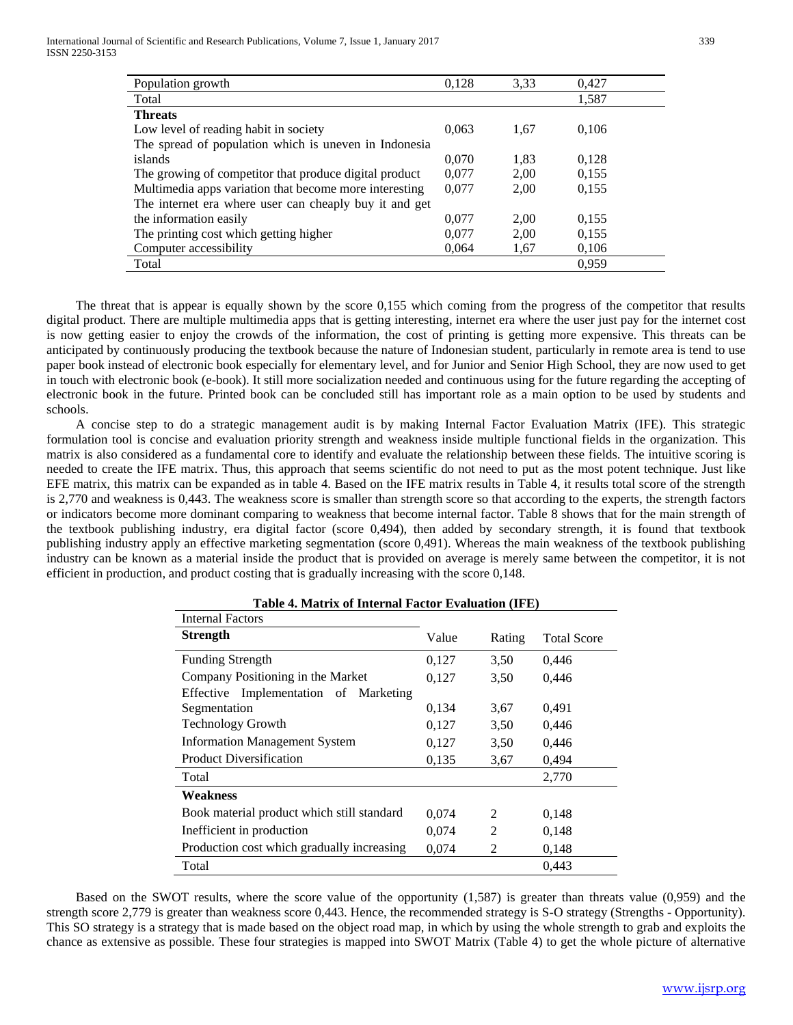| Population growth                                      | 0,128 | 3.33 | 0,427 |  |
|--------------------------------------------------------|-------|------|-------|--|
| Total                                                  |       |      | 1,587 |  |
| <b>Threats</b>                                         |       |      |       |  |
| Low level of reading habit in society                  | 0.063 | 1,67 | 0.106 |  |
| The spread of population which is uneven in Indonesia  |       |      |       |  |
| islands                                                | 0.070 | 1.83 | 0,128 |  |
| The growing of competitor that produce digital product | 0.077 | 2,00 | 0,155 |  |
| Multimedia apps variation that become more interesting | 0,077 | 2,00 | 0,155 |  |
| The internet era where user can cheaply buy it and get |       |      |       |  |
| the information easily                                 | 0.077 | 2.00 | 0,155 |  |
| The printing cost which getting higher                 | 0.077 | 2,00 | 0,155 |  |
| Computer accessibility                                 | 0.064 | 1,67 | 0,106 |  |
| Total                                                  |       |      | 0.959 |  |

 The threat that is appear is equally shown by the score 0,155 which coming from the progress of the competitor that results digital product. There are multiple multimedia apps that is getting interesting, internet era where the user just pay for the internet cost is now getting easier to enjoy the crowds of the information, the cost of printing is getting more expensive. This threats can be anticipated by continuously producing the textbook because the nature of Indonesian student, particularly in remote area is tend to use paper book instead of electronic book especially for elementary level, and for Junior and Senior High School, they are now used to get in touch with electronic book (e-book). It still more socialization needed and continuous using for the future regarding the accepting of electronic book in the future. Printed book can be concluded still has important role as a main option to be used by students and schools.

 A concise step to do a strategic management audit is by making Internal Factor Evaluation Matrix (IFE). This strategic formulation tool is concise and evaluation priority strength and weakness inside multiple functional fields in the organization. This matrix is also considered as a fundamental core to identify and evaluate the relationship between these fields. The intuitive scoring is needed to create the IFE matrix. Thus, this approach that seems scientific do not need to put as the most potent technique. Just like EFE matrix, this matrix can be expanded as in table 4. Based on the IFE matrix results in Table 4, it results total score of the strength is 2,770 and weakness is 0,443. The weakness score is smaller than strength score so that according to the experts, the strength factors or indicators become more dominant comparing to weakness that become internal factor. Table 8 shows that for the main strength of the textbook publishing industry, era digital factor (score 0,494), then added by secondary strength, it is found that textbook publishing industry apply an effective marketing segmentation (score 0,491). Whereas the main weakness of the textbook publishing industry can be known as a material inside the product that is provided on average is merely same between the competitor, it is not efficient in production, and product costing that is gradually increasing with the score 0,148.

| Table 4. Matrix of Internal Factor Evaluation (IFE) |       |                |                    |  |  |
|-----------------------------------------------------|-------|----------------|--------------------|--|--|
| <b>Internal Factors</b>                             |       |                |                    |  |  |
| <b>Strength</b>                                     | Value | Rating         | <b>Total Score</b> |  |  |
| <b>Funding Strength</b>                             | 0,127 | 3,50           | 0,446              |  |  |
| Company Positioning in the Market                   | 0,127 | 3.50           | 0,446              |  |  |
| Effective Implementation of Marketing               |       |                |                    |  |  |
| Segmentation                                        | 0,134 | 3.67           | 0,491              |  |  |
| <b>Technology Growth</b>                            | 0,127 | 3.50           | 0,446              |  |  |
| <b>Information Management System</b>                | 0,127 | 3,50           | 0,446              |  |  |
| <b>Product Diversification</b>                      | 0,135 | 3.67           | 0,494              |  |  |
| Total                                               |       |                | 2,770              |  |  |
| Weakness                                            |       |                |                    |  |  |
| Book material product which still standard          | 0,074 | $\mathfrak{D}$ | 0.148              |  |  |
| Inefficient in production                           | 0,074 | $\mathfrak{D}$ | 0,148              |  |  |
| Production cost which gradually increasing          | 0,074 | 2              | 0,148              |  |  |
| Total                                               |       |                | 0.443              |  |  |

 Based on the SWOT results, where the score value of the opportunity (1,587) is greater than threats value (0,959) and the strength score 2,779 is greater than weakness score 0,443. Hence, the recommended strategy is S-O strategy (Strengths - Opportunity). This SO strategy is a strategy that is made based on the object road map, in which by using the whole strength to grab and exploits the chance as extensive as possible. These four strategies is mapped into SWOT Matrix (Table 4) to get the whole picture of alternative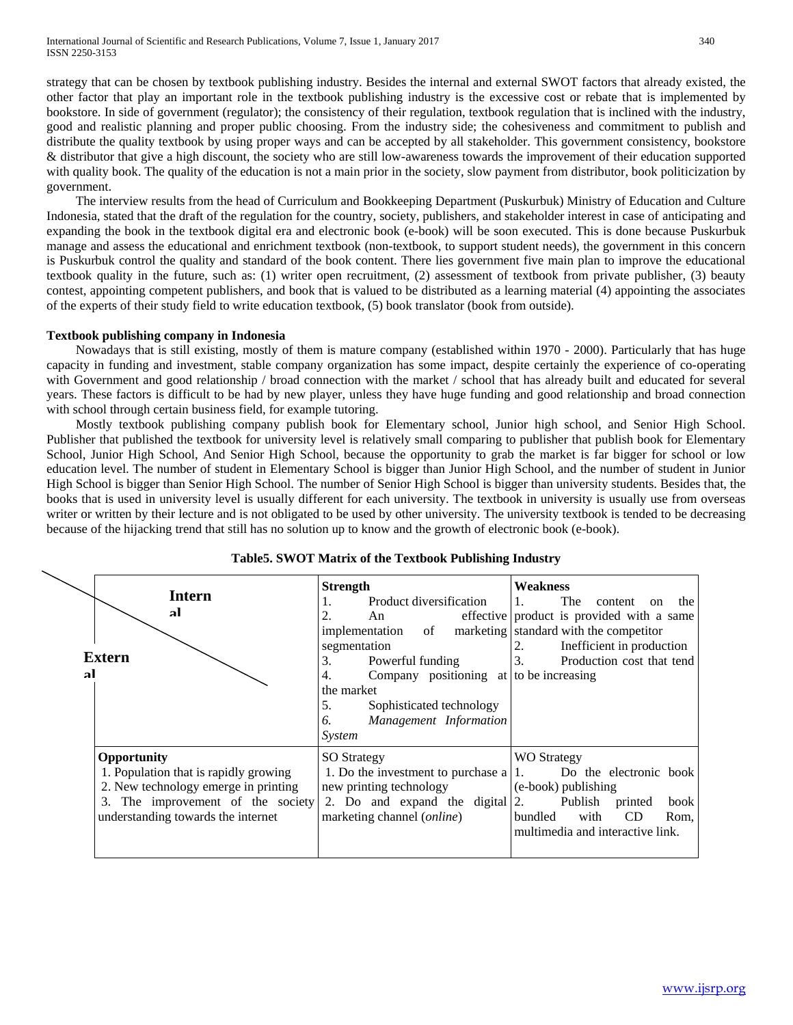strategy that can be chosen by textbook publishing industry. Besides the internal and external SWOT factors that already existed, the other factor that play an important role in the textbook publishing industry is the excessive cost or rebate that is implemented by bookstore. In side of government (regulator); the consistency of their regulation, textbook regulation that is inclined with the industry, good and realistic planning and proper public choosing. From the industry side; the cohesiveness and commitment to publish and distribute the quality textbook by using proper ways and can be accepted by all stakeholder. This government consistency, bookstore & distributor that give a high discount, the society who are still low-awareness towards the improvement of their education supported with quality book. The quality of the education is not a main prior in the society, slow payment from distributor, book politicization by government.

 The interview results from the head of Curriculum and Bookkeeping Department (Puskurbuk) Ministry of Education and Culture Indonesia, stated that the draft of the regulation for the country, society, publishers, and stakeholder interest in case of anticipating and expanding the book in the textbook digital era and electronic book (e-book) will be soon executed. This is done because Puskurbuk manage and assess the educational and enrichment textbook (non-textbook, to support student needs), the government in this concern is Puskurbuk control the quality and standard of the book content. There lies government five main plan to improve the educational textbook quality in the future, such as: (1) writer open recruitment, (2) assessment of textbook from private publisher, (3) beauty contest, appointing competent publishers, and book that is valued to be distributed as a learning material (4) appointing the associates of the experts of their study field to write education textbook, (5) book translator (book from outside).

# **Textbook publishing company in Indonesia**

 Nowadays that is still existing, mostly of them is mature company (established within 1970 - 2000). Particularly that has huge capacity in funding and investment, stable company organization has some impact, despite certainly the experience of co-operating with Government and good relationship / broad connection with the market / school that has already built and educated for several years. These factors is difficult to be had by new player, unless they have huge funding and good relationship and broad connection with school through certain business field, for example tutoring.

 Mostly textbook publishing company publish book for Elementary school, Junior high school, and Senior High School. Publisher that published the textbook for university level is relatively small comparing to publisher that publish book for Elementary School, Junior High School, And Senior High School, because the opportunity to grab the market is far bigger for school or low education level. The number of student in Elementary School is bigger than Junior High School, and the number of student in Junior High School is bigger than Senior High School. The number of Senior High School is bigger than university students. Besides that, the books that is used in university level is usually different for each university. The textbook in university is usually use from overseas writer or written by their lecture and is not obligated to be used by other university. The university textbook is tended to be decreasing because of the hijacking trend that still has no solution up to know and the growth of electronic book (e-book).



# **Table5. SWOT Matrix of the Textbook Publishing Industry**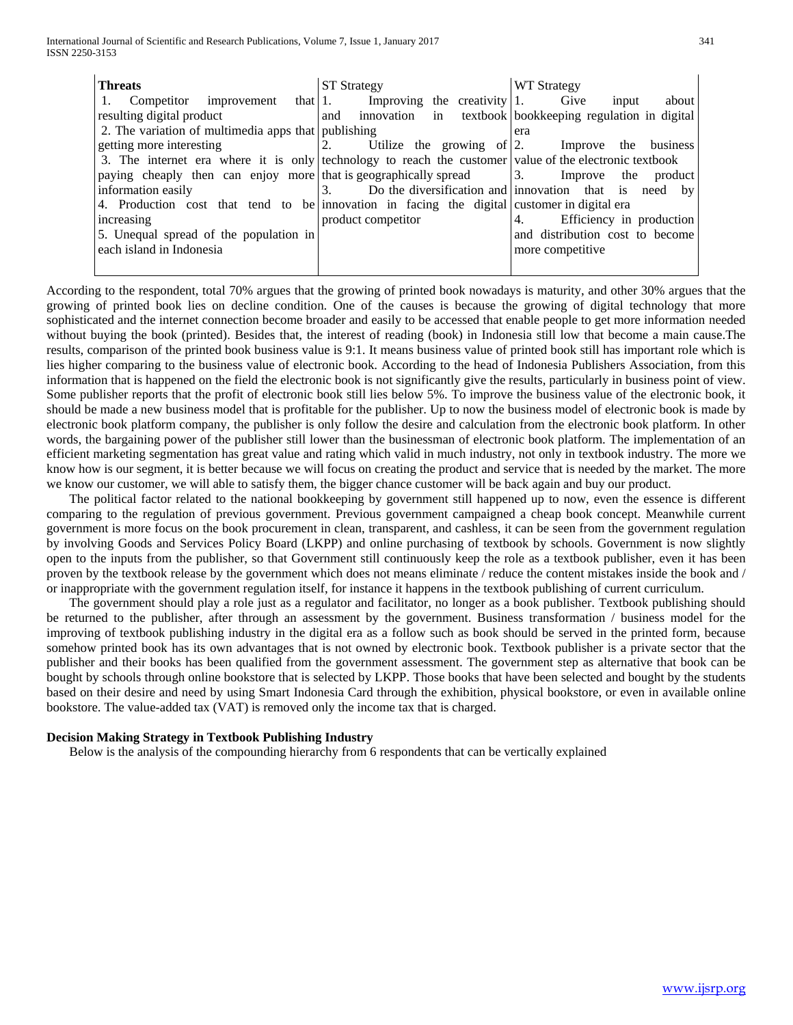| <b>Threats</b>                                                                                         | <b>ST Strategy</b>                                           | <b>WT Strategy</b>              |  |  |
|--------------------------------------------------------------------------------------------------------|--------------------------------------------------------------|---------------------------------|--|--|
| 1. Competitor improvement that $ 1$ . Improving the creativity 1. Give                                 |                                                              | about<br>input                  |  |  |
| resulting digital product                                                                              | and innovation in textbook bookkeeping regulation in digital |                                 |  |  |
| 2. The variation of multimedia apps that publishing                                                    |                                                              | era                             |  |  |
| getting more interesting                                                                               | 2. Utilize the growing of 2. Improve the business            |                                 |  |  |
| 3. The internet era where it is only technology to reach the customer value of the electronic textbook |                                                              |                                 |  |  |
| paying cheaply then can enjoy more that is geographically spread a 3. Improve the product              |                                                              |                                 |  |  |
| information easily                                                                                     | 3. Do the diversification and innovation that is need by     |                                 |  |  |
| 4. Production cost that tend to be innovation in facing the digital customer in digital era            |                                                              |                                 |  |  |
| increasing                                                                                             | product competitor                                           | Efficiency in production<br>4.  |  |  |
| 5. Unequal spread of the population in                                                                 |                                                              | and distribution cost to become |  |  |
| each island in Indonesia                                                                               |                                                              | more competitive.               |  |  |
|                                                                                                        |                                                              |                                 |  |  |

According to the respondent, total 70% argues that the growing of printed book nowadays is maturity, and other 30% argues that the growing of printed book lies on decline condition. One of the causes is because the growing of digital technology that more sophisticated and the internet connection become broader and easily to be accessed that enable people to get more information needed without buying the book (printed). Besides that, the interest of reading (book) in Indonesia still low that become a main cause.The results, comparison of the printed book business value is 9:1. It means business value of printed book still has important role which is lies higher comparing to the business value of electronic book. According to the head of Indonesia Publishers Association, from this information that is happened on the field the electronic book is not significantly give the results, particularly in business point of view. Some publisher reports that the profit of electronic book still lies below 5%. To improve the business value of the electronic book, it should be made a new business model that is profitable for the publisher. Up to now the business model of electronic book is made by electronic book platform company, the publisher is only follow the desire and calculation from the electronic book platform. In other words, the bargaining power of the publisher still lower than the businessman of electronic book platform. The implementation of an efficient marketing segmentation has great value and rating which valid in much industry, not only in textbook industry. The more we know how is our segment, it is better because we will focus on creating the product and service that is needed by the market. The more we know our customer, we will able to satisfy them, the bigger chance customer will be back again and buy our product.

 The political factor related to the national bookkeeping by government still happened up to now, even the essence is different comparing to the regulation of previous government. Previous government campaigned a cheap book concept. Meanwhile current government is more focus on the book procurement in clean, transparent, and cashless, it can be seen from the government regulation by involving Goods and Services Policy Board (LKPP) and online purchasing of textbook by schools. Government is now slightly open to the inputs from the publisher, so that Government still continuously keep the role as a textbook publisher, even it has been proven by the textbook release by the government which does not means eliminate / reduce the content mistakes inside the book and / or inappropriate with the government regulation itself, for instance it happens in the textbook publishing of current curriculum.

 The government should play a role just as a regulator and facilitator, no longer as a book publisher. Textbook publishing should be returned to the publisher, after through an assessment by the government. Business transformation / business model for the improving of textbook publishing industry in the digital era as a follow such as book should be served in the printed form, because somehow printed book has its own advantages that is not owned by electronic book. Textbook publisher is a private sector that the publisher and their books has been qualified from the government assessment. The government step as alternative that book can be bought by schools through online bookstore that is selected by LKPP. Those books that have been selected and bought by the students based on their desire and need by using Smart Indonesia Card through the exhibition, physical bookstore, or even in available online bookstore. The value-added tax (VAT) is removed only the income tax that is charged.

# **Decision Making Strategy in Textbook Publishing Industry**

Below is the analysis of the compounding hierarchy from 6 respondents that can be vertically explained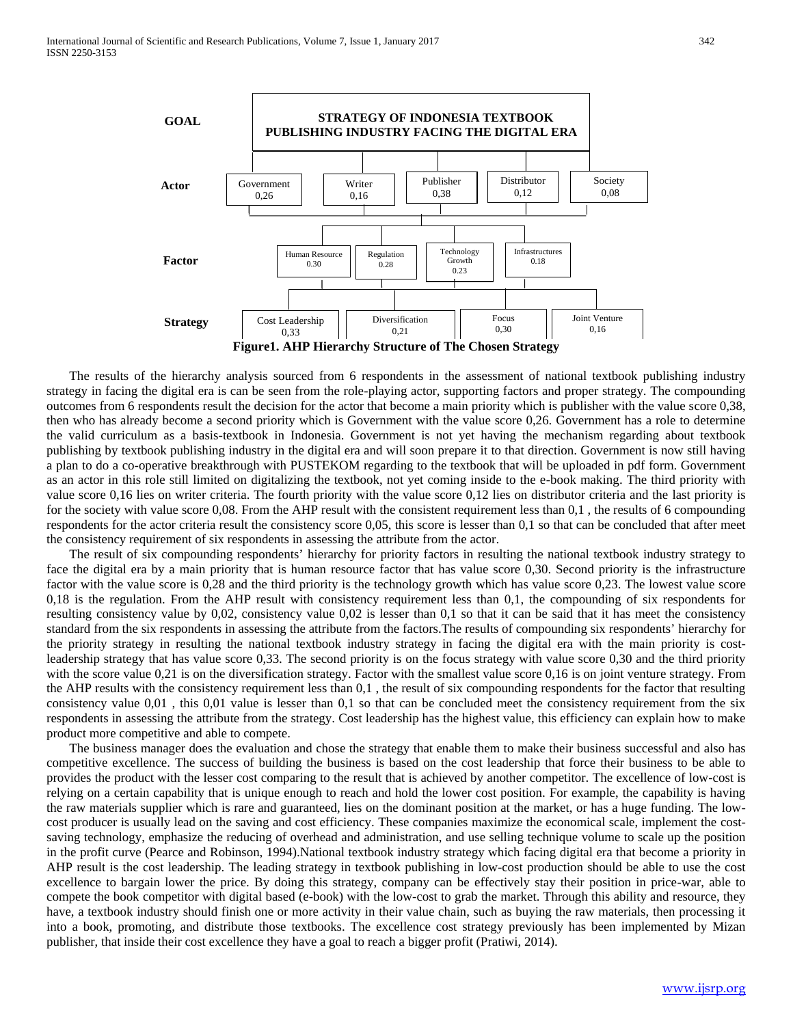

 The results of the hierarchy analysis sourced from 6 respondents in the assessment of national textbook publishing industry strategy in facing the digital era is can be seen from the role-playing actor, supporting factors and proper strategy. The compounding outcomes from 6 respondents result the decision for the actor that become a main priority which is publisher with the value score 0,38, then who has already become a second priority which is Government with the value score 0,26. Government has a role to determine the valid curriculum as a basis-textbook in Indonesia. Government is not yet having the mechanism regarding about textbook publishing by textbook publishing industry in the digital era and will soon prepare it to that direction. Government is now still having a plan to do a co-operative breakthrough with PUSTEKOM regarding to the textbook that will be uploaded in pdf form. Government as an actor in this role still limited on digitalizing the textbook, not yet coming inside to the e-book making. The third priority with value score 0,16 lies on writer criteria. The fourth priority with the value score 0,12 lies on distributor criteria and the last priority is for the society with value score 0,08. From the AHP result with the consistent requirement less than 0,1 , the results of 6 compounding respondents for the actor criteria result the consistency score 0,05, this score is lesser than 0,1 so that can be concluded that after meet the consistency requirement of six respondents in assessing the attribute from the actor.

 The result of six compounding respondents' hierarchy for priority factors in resulting the national textbook industry strategy to face the digital era by a main priority that is human resource factor that has value score 0,30. Second priority is the infrastructure factor with the value score is 0,28 and the third priority is the technology growth which has value score 0,23. The lowest value score 0,18 is the regulation. From the AHP result with consistency requirement less than 0,1, the compounding of six respondents for resulting consistency value by 0,02, consistency value 0,02 is lesser than 0,1 so that it can be said that it has meet the consistency standard from the six respondents in assessing the attribute from the factors.The results of compounding six respondents' hierarchy for the priority strategy in resulting the national textbook industry strategy in facing the digital era with the main priority is costleadership strategy that has value score 0,33. The second priority is on the focus strategy with value score 0,30 and the third priority with the score value 0,21 is on the diversification strategy. Factor with the smallest value score 0,16 is on joint venture strategy. From the AHP results with the consistency requirement less than 0,1 , the result of six compounding respondents for the factor that resulting consistency value 0,01 , this 0,01 value is lesser than 0,1 so that can be concluded meet the consistency requirement from the six respondents in assessing the attribute from the strategy. Cost leadership has the highest value, this efficiency can explain how to make product more competitive and able to compete.

 The business manager does the evaluation and chose the strategy that enable them to make their business successful and also has competitive excellence. The success of building the business is based on the cost leadership that force their business to be able to provides the product with the lesser cost comparing to the result that is achieved by another competitor. The excellence of low-cost is relying on a certain capability that is unique enough to reach and hold the lower cost position. For example, the capability is having the raw materials supplier which is rare and guaranteed, lies on the dominant position at the market, or has a huge funding. The lowcost producer is usually lead on the saving and cost efficiency. These companies maximize the economical scale, implement the costsaving technology, emphasize the reducing of overhead and administration, and use selling technique volume to scale up the position in the profit curve (Pearce and Robinson, 1994).National textbook industry strategy which facing digital era that become a priority in AHP result is the cost leadership. The leading strategy in textbook publishing in low-cost production should be able to use the cost excellence to bargain lower the price. By doing this strategy, company can be effectively stay their position in price-war, able to compete the book competitor with digital based (e-book) with the low-cost to grab the market. Through this ability and resource, they have, a textbook industry should finish one or more activity in their value chain, such as buying the raw materials, then processing it into a book, promoting, and distribute those textbooks. The excellence cost strategy previously has been implemented by Mizan publisher, that inside their cost excellence they have a goal to reach a bigger profit (Pratiwi, 2014).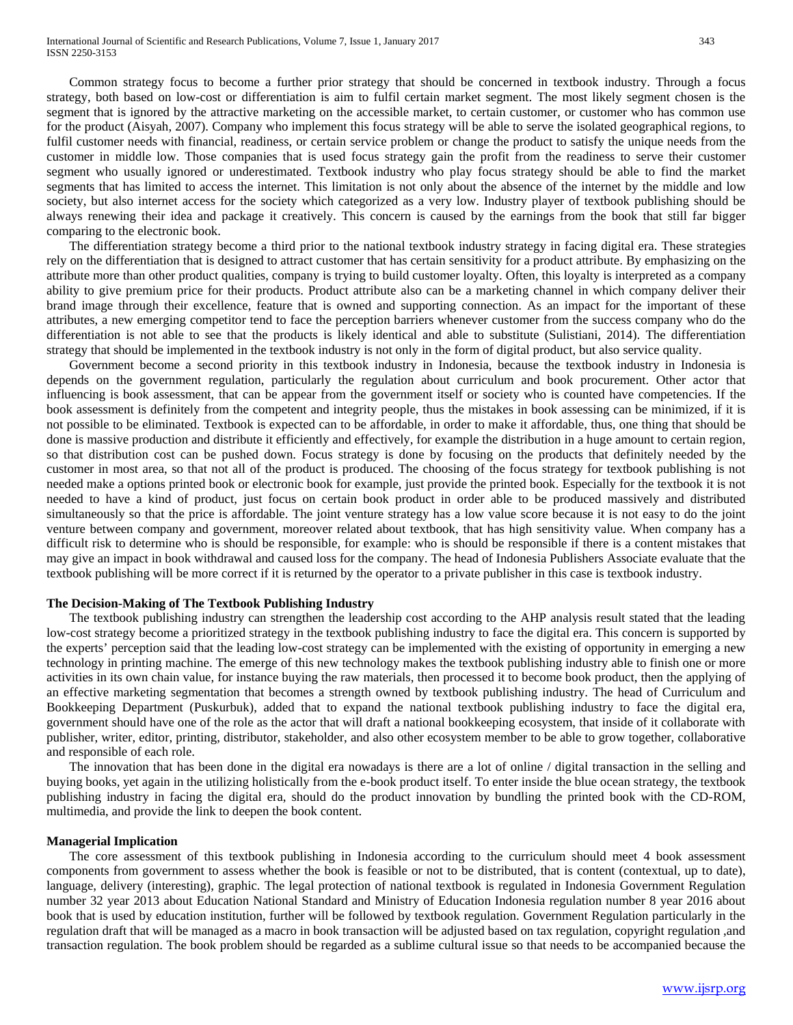Common strategy focus to become a further prior strategy that should be concerned in textbook industry. Through a focus strategy, both based on low-cost or differentiation is aim to fulfil certain market segment. The most likely segment chosen is the segment that is ignored by the attractive marketing on the accessible market, to certain customer, or customer who has common use for the product (Aisyah, 2007). Company who implement this focus strategy will be able to serve the isolated geographical regions, to fulfil customer needs with financial, readiness, or certain service problem or change the product to satisfy the unique needs from the customer in middle low. Those companies that is used focus strategy gain the profit from the readiness to serve their customer segment who usually ignored or underestimated. Textbook industry who play focus strategy should be able to find the market segments that has limited to access the internet. This limitation is not only about the absence of the internet by the middle and low society, but also internet access for the society which categorized as a very low. Industry player of textbook publishing should be always renewing their idea and package it creatively. This concern is caused by the earnings from the book that still far bigger comparing to the electronic book.

 The differentiation strategy become a third prior to the national textbook industry strategy in facing digital era. These strategies rely on the differentiation that is designed to attract customer that has certain sensitivity for a product attribute. By emphasizing on the attribute more than other product qualities, company is trying to build customer loyalty. Often, this loyalty is interpreted as a company ability to give premium price for their products. Product attribute also can be a marketing channel in which company deliver their brand image through their excellence, feature that is owned and supporting connection. As an impact for the important of these attributes, a new emerging competitor tend to face the perception barriers whenever customer from the success company who do the differentiation is not able to see that the products is likely identical and able to substitute (Sulistiani, 2014). The differentiation strategy that should be implemented in the textbook industry is not only in the form of digital product, but also service quality.

 Government become a second priority in this textbook industry in Indonesia, because the textbook industry in Indonesia is depends on the government regulation, particularly the regulation about curriculum and book procurement. Other actor that influencing is book assessment, that can be appear from the government itself or society who is counted have competencies. If the book assessment is definitely from the competent and integrity people, thus the mistakes in book assessing can be minimized, if it is not possible to be eliminated. Textbook is expected can to be affordable, in order to make it affordable, thus, one thing that should be done is massive production and distribute it efficiently and effectively, for example the distribution in a huge amount to certain region, so that distribution cost can be pushed down. Focus strategy is done by focusing on the products that definitely needed by the customer in most area, so that not all of the product is produced. The choosing of the focus strategy for textbook publishing is not needed make a options printed book or electronic book for example, just provide the printed book. Especially for the textbook it is not needed to have a kind of product, just focus on certain book product in order able to be produced massively and distributed simultaneously so that the price is affordable. The joint venture strategy has a low value score because it is not easy to do the joint venture between company and government, moreover related about textbook, that has high sensitivity value. When company has a difficult risk to determine who is should be responsible, for example: who is should be responsible if there is a content mistakes that may give an impact in book withdrawal and caused loss for the company. The head of Indonesia Publishers Associate evaluate that the textbook publishing will be more correct if it is returned by the operator to a private publisher in this case is textbook industry.

# **The Decision-Making of The Textbook Publishing Industry**

 The textbook publishing industry can strengthen the leadership cost according to the AHP analysis result stated that the leading low-cost strategy become a prioritized strategy in the textbook publishing industry to face the digital era. This concern is supported by the experts' perception said that the leading low-cost strategy can be implemented with the existing of opportunity in emerging a new technology in printing machine. The emerge of this new technology makes the textbook publishing industry able to finish one or more activities in its own chain value, for instance buying the raw materials, then processed it to become book product, then the applying of an effective marketing segmentation that becomes a strength owned by textbook publishing industry. The head of Curriculum and Bookkeeping Department (Puskurbuk), added that to expand the national textbook publishing industry to face the digital era, government should have one of the role as the actor that will draft a national bookkeeping ecosystem, that inside of it collaborate with publisher, writer, editor, printing, distributor, stakeholder, and also other ecosystem member to be able to grow together, collaborative and responsible of each role.

 The innovation that has been done in the digital era nowadays is there are a lot of online / digital transaction in the selling and buying books, yet again in the utilizing holistically from the e-book product itself. To enter inside the blue ocean strategy, the textbook publishing industry in facing the digital era, should do the product innovation by bundling the printed book with the CD-ROM, multimedia, and provide the link to deepen the book content.

#### **Managerial Implication**

 The core assessment of this textbook publishing in Indonesia according to the curriculum should meet 4 book assessment components from government to assess whether the book is feasible or not to be distributed, that is content (contextual, up to date), language, delivery (interesting), graphic. The legal protection of national textbook is regulated in Indonesia Government Regulation number 32 year 2013 about Education National Standard and Ministry of Education Indonesia regulation number 8 year 2016 about book that is used by education institution, further will be followed by textbook regulation. Government Regulation particularly in the regulation draft that will be managed as a macro in book transaction will be adjusted based on tax regulation, copyright regulation ,and transaction regulation. The book problem should be regarded as a sublime cultural issue so that needs to be accompanied because the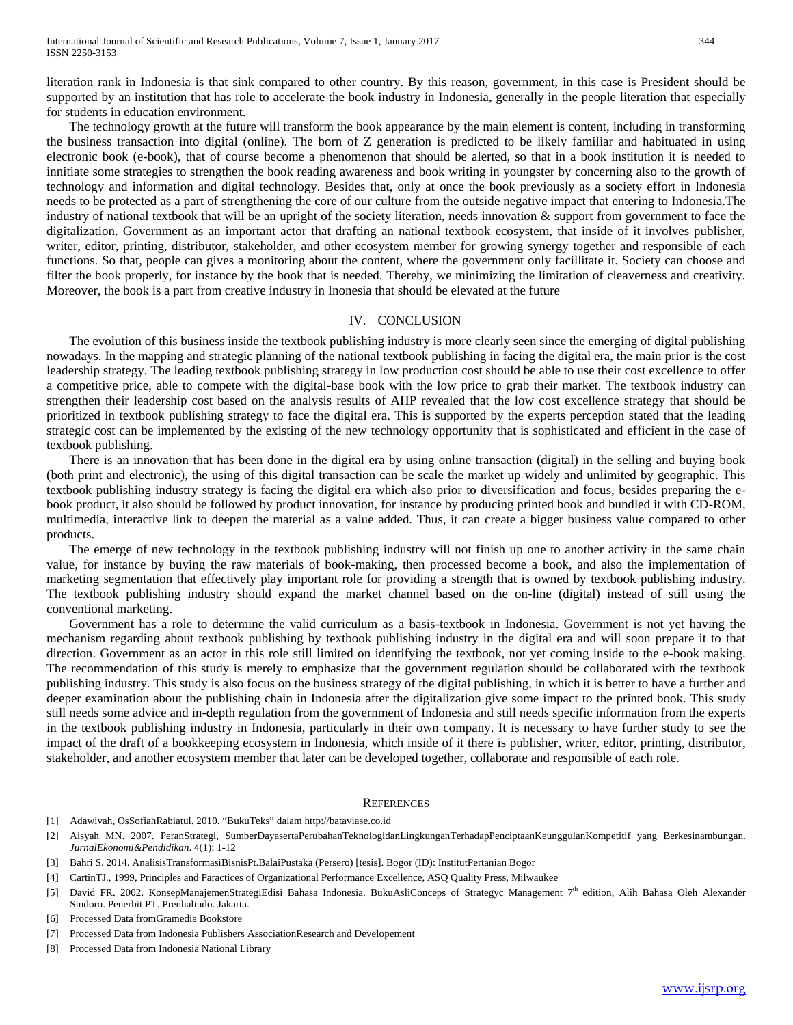literation rank in Indonesia is that sink compared to other country. By this reason, government, in this case is President should be supported by an institution that has role to accelerate the book industry in Indonesia, generally in the people literation that especially for students in education environment.

 The technology growth at the future will transform the book appearance by the main element is content, including in transforming the business transaction into digital (online). The born of Z generation is predicted to be likely familiar and habituated in using electronic book (e-book), that of course become a phenomenon that should be alerted, so that in a book institution it is needed to innitiate some strategies to strengthen the book reading awareness and book writing in youngster by concerning also to the growth of technology and information and digital technology. Besides that, only at once the book previously as a society effort in Indonesia needs to be protected as a part of strengthening the core of our culture from the outside negative impact that entering to Indonesia.The industry of national textbook that will be an upright of the society literation, needs innovation & support from government to face the digitalization. Government as an important actor that drafting an national textbook ecosystem, that inside of it involves publisher, writer, editor, printing, distributor, stakeholder, and other ecosystem member for growing synergy together and responsible of each functions. So that, people can gives a monitoring about the content, where the government only facillitate it. Society can choose and filter the book properly, for instance by the book that is needed. Thereby, we minimizing the limitation of cleaverness and creativity. Moreover, the book is a part from creative industry in Inonesia that should be elevated at the future

#### IV. CONCLUSION

 The evolution of this business inside the textbook publishing industry is more clearly seen since the emerging of digital publishing nowadays. In the mapping and strategic planning of the national textbook publishing in facing the digital era, the main prior is the cost leadership strategy. The leading textbook publishing strategy in low production cost should be able to use their cost excellence to offer a competitive price, able to compete with the digital-base book with the low price to grab their market. The textbook industry can strengthen their leadership cost based on the analysis results of AHP revealed that the low cost excellence strategy that should be prioritized in textbook publishing strategy to face the digital era. This is supported by the experts perception stated that the leading strategic cost can be implemented by the existing of the new technology opportunity that is sophisticated and efficient in the case of textbook publishing.

 There is an innovation that has been done in the digital era by using online transaction (digital) in the selling and buying book (both print and electronic), the using of this digital transaction can be scale the market up widely and unlimited by geographic. This textbook publishing industry strategy is facing the digital era which also prior to diversification and focus, besides preparing the ebook product, it also should be followed by product innovation, for instance by producing printed book and bundled it with CD-ROM, multimedia, interactive link to deepen the material as a value added. Thus, it can create a bigger business value compared to other products.

 The emerge of new technology in the textbook publishing industry will not finish up one to another activity in the same chain value, for instance by buying the raw materials of book-making, then processed become a book, and also the implementation of marketing segmentation that effectively play important role for providing a strength that is owned by textbook publishing industry. The textbook publishing industry should expand the market channel based on the on-line (digital) instead of still using the conventional marketing.

 Government has a role to determine the valid curriculum as a basis-textbook in Indonesia. Government is not yet having the mechanism regarding about textbook publishing by textbook publishing industry in the digital era and will soon prepare it to that direction. Government as an actor in this role still limited on identifying the textbook, not yet coming inside to the e-book making. The recommendation of this study is merely to emphasize that the government regulation should be collaborated with the textbook publishing industry. This study is also focus on the business strategy of the digital publishing, in which it is better to have a further and deeper examination about the publishing chain in Indonesia after the digitalization give some impact to the printed book. This study still needs some advice and in-depth regulation from the government of Indonesia and still needs specific information from the experts in the textbook publishing industry in Indonesia, particularly in their own company. It is necessary to have further study to see the impact of the draft of a bookkeeping ecosystem in Indonesia, which inside of it there is publisher, writer, editor, printing, distributor, stakeholder, and another ecosystem member that later can be developed together, collaborate and responsible of each role.

#### **REFERENCES**

- [1] Adawivah, OsSofiahRabiatul. 2010. "BukuTeks" dalam http://bataviase.co.id
- [2] Aisyah MN. 2007. PeranStrategi, SumberDayasertaPerubahanTeknologidanLingkunganTerhadapPenciptaanKeunggulanKompetitif yang Berkesinambungan. *JurnalEkonomi&Pendidikan*. 4(1): 1-12
- [3] Bahri S. 2014. AnalisisTransformasiBisnisPt.BalaiPustaka (Persero) [tesis]. Bogor (ID): InstitutPertanian Bogor
- [4] CartinTJ., 1999, Principles and Paractices of Organizational Performance Excellence, ASQ Quality Press, Milwaukee
- [5] David FR. 2002. KonsepManajemenStrategiEdisi Bahasa Indonesia. BukuAsliConceps of Strategyc Management 7<sup>th</sup> edition, Alih Bahasa Oleh Alexander Sindoro. Penerbit PT. Prenhalindo. Jakarta.
- [6] Processed Data fromGramedia Bookstore
- [7] Processed Data from Indonesia Publishers AssociationResearch and Developement
- [8] Processed Data from Indonesia National Library